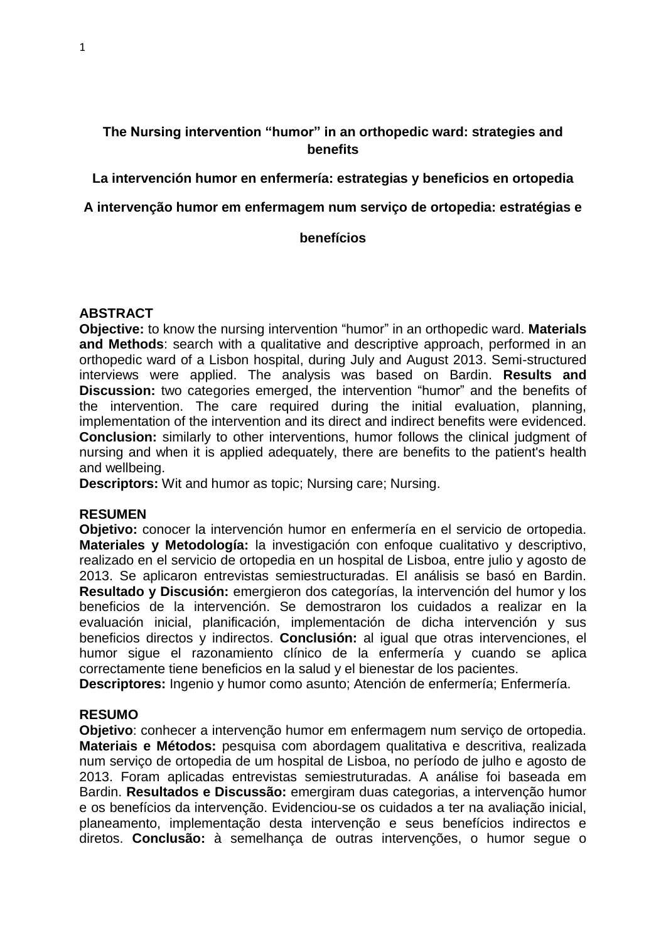# **The Nursing intervention "humor" in an orthopedic ward: strategies and benefits**

# **La intervención humor en enfermería: estrategias y beneficios en ortopedia**

# **A intervenção humor em enfermagem num serviço de ortopedia: estratégias e**

### **benefícios**

# **ABSTRACT**

**Objective:** to know the nursing intervention "humor" in an orthopedic ward. **Materials and Methods**: search with a qualitative and descriptive approach, performed in an orthopedic ward of a Lisbon hospital, during July and August 2013. Semi-structured interviews were applied. The analysis was based on Bardin. **Results and Discussion:** two categories emerged, the intervention "humor" and the benefits of the intervention. The care required during the initial evaluation, planning, implementation of the intervention and its direct and indirect benefits were evidenced. **Conclusion:** similarly to other interventions, humor follows the clinical judgment of nursing and when it is applied adequately, there are benefits to the patient's health and wellbeing.

**Descriptors:** Wit and humor as topic; Nursing care; Nursing.

# **RESUMEN**

**Objetivo:** conocer la intervención humor en enfermería en el servicio de ortopedia. **Materiales y Metodología:** la investigación con enfoque cualitativo y descriptivo, realizado en el servicio de ortopedia en un hospital de Lisboa, entre julio y agosto de 2013. Se aplicaron entrevistas semiestructuradas. El análisis se basó en Bardin. **Resultado y Discusión:** emergieron dos categorías, la intervención del humor y los beneficios de la intervención. Se demostraron los cuidados a realizar en la evaluación inicial, planificación, implementación de dicha intervención y sus beneficios directos y indirectos. **Conclusión:** al igual que otras intervenciones, el humor sigue el razonamiento clínico de la enfermería y cuando se aplica correctamente tiene beneficios en la salud y el bienestar de los pacientes.

**Descriptores:** Ingenio y humor como asunto; Atención de enfermería; Enfermería.

# **RESUMO**

**Objetivo**: conhecer a intervenção humor em enfermagem num serviço de ortopedia. **Materiais e Métodos:** pesquisa com abordagem qualitativa e descritiva, realizada num serviço de ortopedia de um hospital de Lisboa, no período de julho e agosto de 2013. Foram aplicadas entrevistas semiestruturadas. A análise foi baseada em Bardin. **Resultados e Discussão:** emergiram duas categorias, a intervenção humor e os benefícios da intervenção. Evidenciou-se os cuidados a ter na avaliação inicial, planeamento, implementação desta intervenção e seus benefícios indirectos e diretos. **Conclusão:** à semelhança de outras intervenções, o humor segue o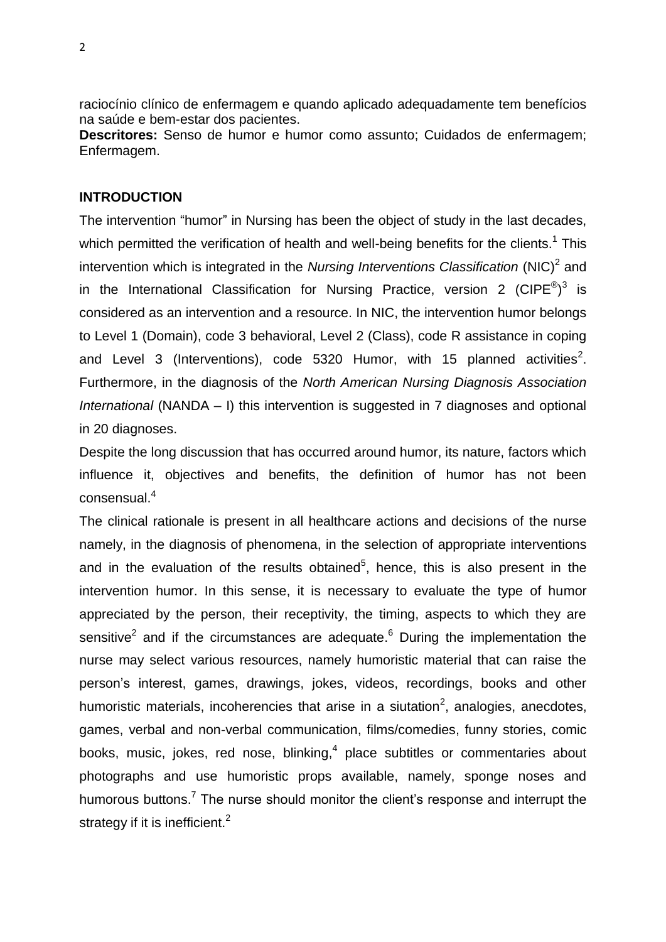raciocínio clínico de enfermagem e quando aplicado adequadamente tem benefícios na saúde e bem-estar dos pacientes.

**Descritores:** Senso de humor e humor como assunto; Cuidados de enfermagem; Enfermagem.

## **INTRODUCTION**

The intervention "humor" in Nursing has been the object of study in the last decades, which permitted the verification of health and well-being benefits for the clients.<sup>1</sup> This intervention which is integrated in the *Nursing Interventions Classification* (NIC)<sup>2</sup> and in the International Classification for Nursing Practice, version 2 (CIPE $^{\circledR})^3$  is considered as an intervention and a resource. In NIC, the intervention humor belongs to Level 1 (Domain), code 3 behavioral, Level 2 (Class), code R assistance in coping and Level 3 (Interventions), code 5320 Humor, with 15 planned activities<sup>2</sup>. Furthermore, in the diagnosis of the *North American Nursing Diagnosis Association International* (NANDA – I) this intervention is suggested in 7 diagnoses and optional in 20 diagnoses.

Despite the long discussion that has occurred around humor, its nature, factors which influence it, objectives and benefits, the definition of humor has not been consensual.<sup>4</sup>

The clinical rationale is present in all healthcare actions and decisions of the nurse namely, in the diagnosis of phenomena, in the selection of appropriate interventions and in the evaluation of the results obtained<sup>5</sup>, hence, this is also present in the intervention humor. In this sense, it is necessary to evaluate the type of humor appreciated by the person, their receptivity, the timing, aspects to which they are sensitive<sup>2</sup> and if the circumstances are adequate.<sup>6</sup> During the implementation the nurse may select various resources, namely humoristic material that can raise the person's interest, games, drawings, jokes, videos, recordings, books and other humoristic materials, incoherencies that arise in a siutation<sup>2</sup>, analogies, anecdotes, games, verbal and non-verbal communication, films/comedies, funny stories, comic books, music, jokes, red nose, blinking,<sup>4</sup> place subtitles or commentaries about photographs and use humoristic props available, namely, sponge noses and humorous buttons.<sup>7</sup> The nurse should monitor the client's response and interrupt the strategy if it is inefficient.<sup>2</sup>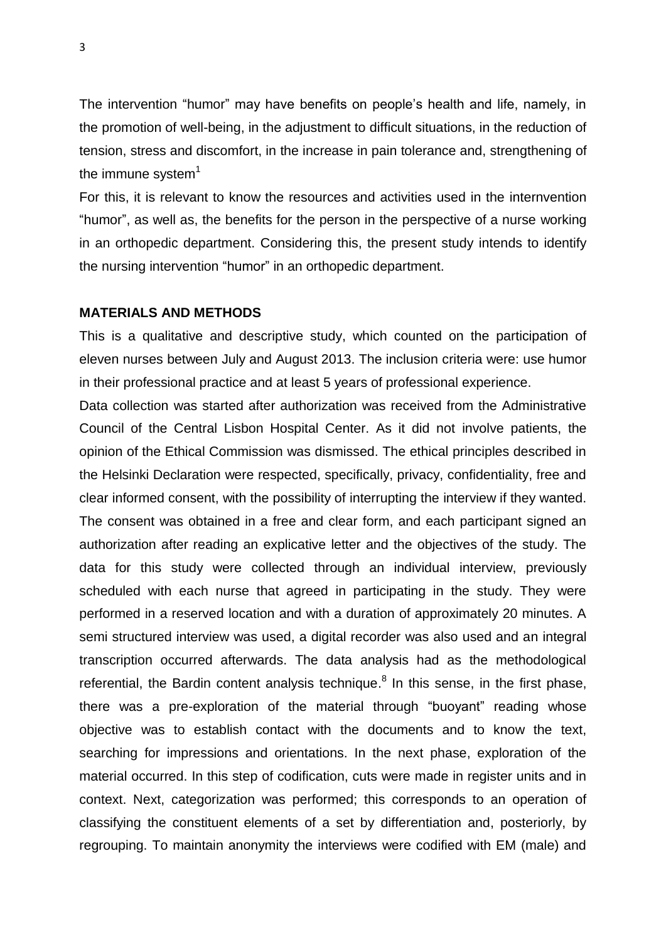The intervention "humor" may have benefits on people's health and life, namely, in the promotion of well-being, in the adjustment to difficult situations, in the reduction of tension, stress and discomfort, in the increase in pain tolerance and, strengthening of the immune system $1$ 

For this, it is relevant to know the resources and activities used in the internvention "humor", as well as, the benefits for the person in the perspective of a nurse working in an orthopedic department. Considering this, the present study intends to identify the nursing intervention "humor" in an orthopedic department.

## **MATERIALS AND METHODS**

This is a qualitative and descriptive study, which counted on the participation of eleven nurses between July and August 2013. The inclusion criteria were: use humor in their professional practice and at least 5 years of professional experience.

Data collection was started after authorization was received from the Administrative Council of the Central Lisbon Hospital Center. As it did not involve patients, the opinion of the Ethical Commission was dismissed. The ethical principles described in the Helsinki Declaration were respected, specifically, privacy, confidentiality, free and clear informed consent, with the possibility of interrupting the interview if they wanted. The consent was obtained in a free and clear form, and each participant signed an authorization after reading an explicative letter and the objectives of the study. The data for this study were collected through an individual interview, previously scheduled with each nurse that agreed in participating in the study. They were performed in a reserved location and with a duration of approximately 20 minutes. A semi structured interview was used, a digital recorder was also used and an integral transcription occurred afterwards. The data analysis had as the methodological referential, the Bardin content analysis technique.<sup>8</sup> In this sense, in the first phase, there was a pre-exploration of the material through "buoyant" reading whose objective was to establish contact with the documents and to know the text, searching for impressions and orientations. In the next phase, exploration of the material occurred. In this step of codification, cuts were made in register units and in context. Next, categorization was performed; this corresponds to an operation of classifying the constituent elements of a set by differentiation and, posteriorly, by regrouping. To maintain anonymity the interviews were codified with EM (male) and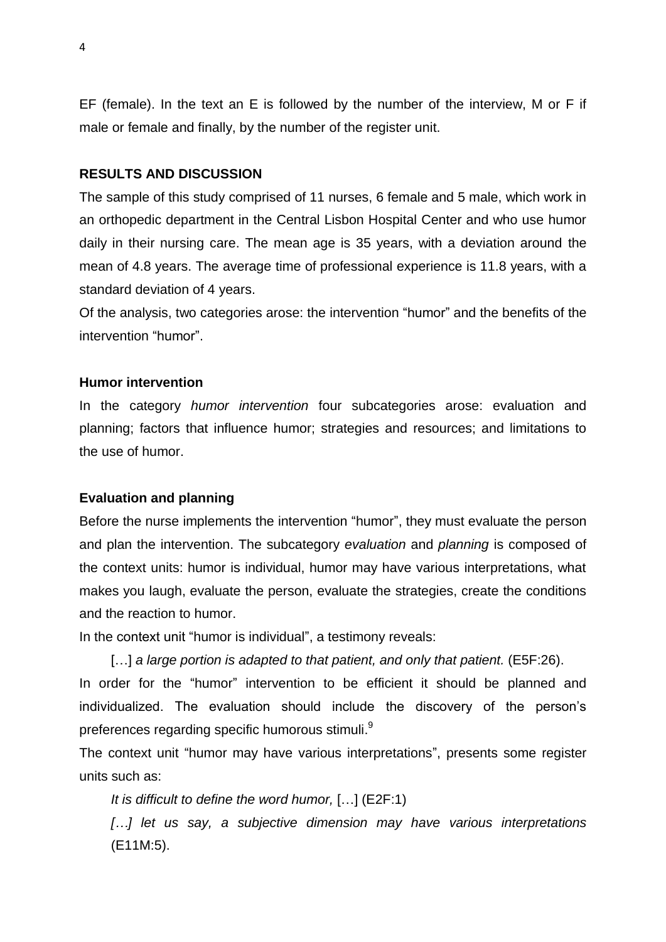EF (female). In the text an E is followed by the number of the interview, M or F if male or female and finally, by the number of the register unit.

### **RESULTS AND DISCUSSION**

The sample of this study comprised of 11 nurses, 6 female and 5 male, which work in an orthopedic department in the Central Lisbon Hospital Center and who use humor daily in their nursing care. The mean age is 35 years, with a deviation around the mean of 4.8 years. The average time of professional experience is 11.8 years, with a standard deviation of 4 years.

Of the analysis, two categories arose: the intervention "humor" and the benefits of the intervention "humor".

### **Humor intervention**

In the category *humor intervention* four subcategories arose: evaluation and planning; factors that influence humor; strategies and resources; and limitations to the use of humor.

## **Evaluation and planning**

Before the nurse implements the intervention "humor", they must evaluate the person and plan the intervention. The subcategory *evaluation* and *planning* is composed of the context units: humor is individual, humor may have various interpretations, what makes you laugh, evaluate the person, evaluate the strategies, create the conditions and the reaction to humor.

In the context unit "humor is individual", a testimony reveals:

[...] *a large portion is adapted to that patient, and only that patient.* (E5F:26).

In order for the "humor" intervention to be efficient it should be planned and individualized. The evaluation should include the discovery of the person's preferences regarding specific humorous stimuli. $^{\textrm{\textregistered}}$ 

The context unit "humor may have various interpretations", presents some register units such as:

*It is difficult to define the word humor,* […] (E2F:1)

*[…] let us say, a subjective dimension may have various interpretations* (E11M:5).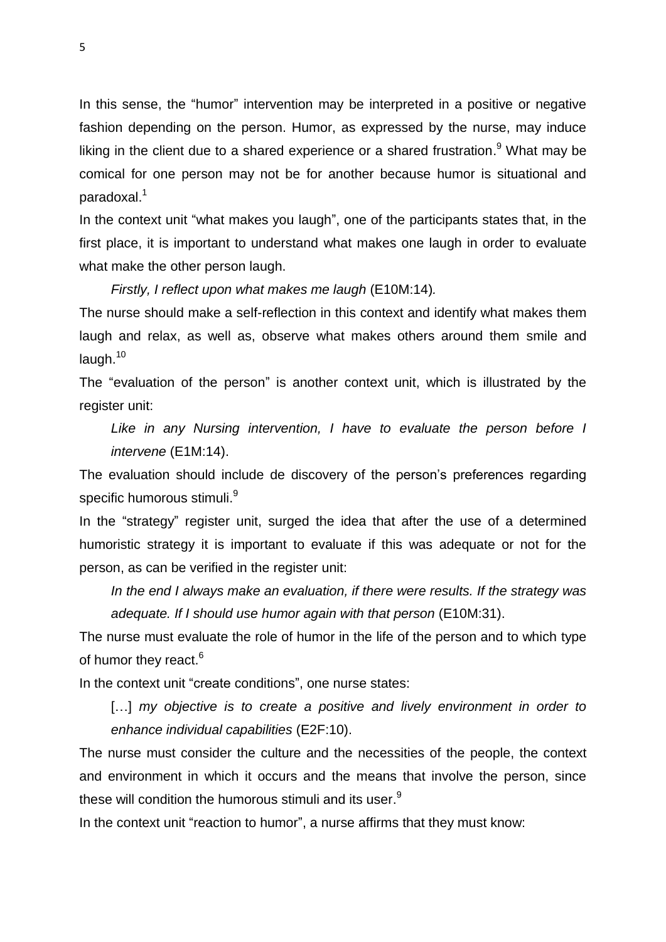In this sense, the "humor" intervention may be interpreted in a positive or negative fashion depending on the person. Humor, as expressed by the nurse, may induce liking in the client due to a shared experience or a shared frustration.<sup>9</sup> What may be comical for one person may not be for another because humor is situational and paradoxal.<sup>1</sup>

In the context unit "what makes you laugh", one of the participants states that, in the first place, it is important to understand what makes one laugh in order to evaluate what make the other person laugh.

*Firstly, I reflect upon what makes me laugh* (E10M:14)*.* 

The nurse should make a self-reflection in this context and identify what makes them laugh and relax, as well as, observe what makes others around them smile and laugh.<sup>10</sup>

The "evaluation of the person" is another context unit, which is illustrated by the register unit:

Like in any Nursing intervention, I have to evaluate the person before I *intervene* (E1M:14).

The evaluation should include de discovery of the person's preferences regarding specific humorous stimuli. $^9$ 

In the "strategy" register unit, surged the idea that after the use of a determined humoristic strategy it is important to evaluate if this was adequate or not for the person, as can be verified in the register unit:

*In the end I always make an evaluation, if there were results. If the strategy was adequate. If I should use humor again with that person* (E10M:31).

The nurse must evaluate the role of humor in the life of the person and to which type of humor they react.<sup>6</sup>

In the context unit "create conditions", one nurse states:

[...] *my objective is to create a positive and lively environment in order to enhance individual capabilities* (E2F:10).

The nurse must consider the culture and the necessities of the people, the context and environment in which it occurs and the means that involve the person, since these will condition the humorous stimuli and its user. $^9$ 

In the context unit "reaction to humor", a nurse affirms that they must know: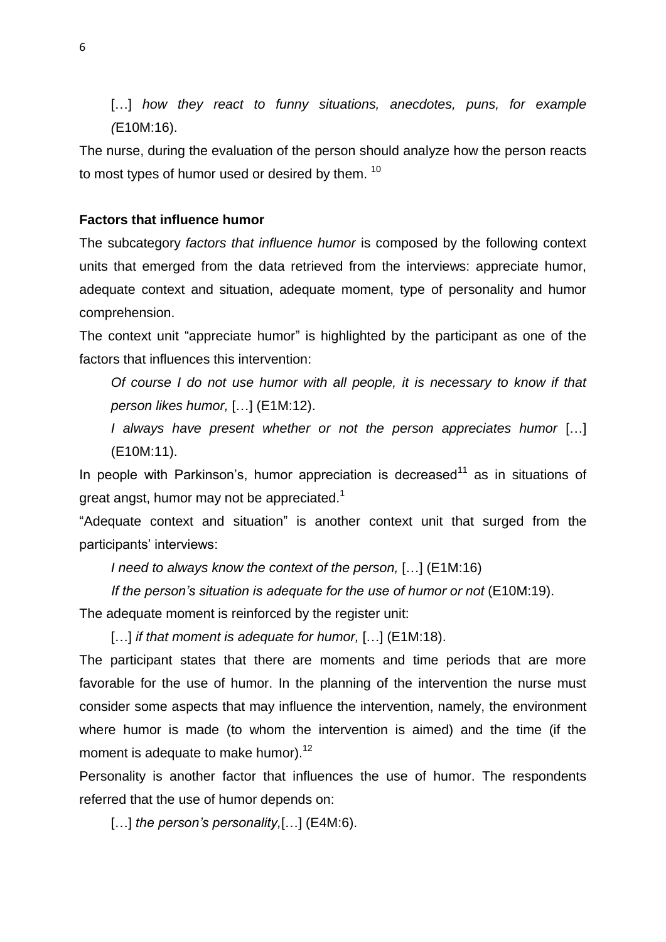[...] *how they react to funny situations, anecdotes, puns, for example (*E10M:16).

The nurse, during the evaluation of the person should analyze how the person reacts to most types of humor used or desired by them. <sup>10</sup>

#### **Factors that influence humor**

The subcategory *factors that influence humor* is composed by the following context units that emerged from the data retrieved from the interviews: appreciate humor, adequate context and situation, adequate moment, type of personality and humor comprehension.

The context unit "appreciate humor" is highlighted by the participant as one of the factors that influences this intervention:

*Of course I do not use humor with all people, it is necessary to know if that person likes humor,* […] (E1M:12).

*I always have present whether or not the person appreciates humor* […] (E10M:11).

In people with Parkinson's, humor appreciation is decreased<sup>11</sup> as in situations of great angst, humor may not be appreciated.<sup>1</sup>

"Adequate context and situation" is another context unit that surged from the participants' interviews:

*I need to always know the context of the person,* […] (E1M:16)

*If the person's situation is adequate for the use of humor or not* (E10M:19).

The adequate moment is reinforced by the register unit:

[…] *if that moment is adequate for humor,* […] (E1M:18).

The participant states that there are moments and time periods that are more favorable for the use of humor. In the planning of the intervention the nurse must consider some aspects that may influence the intervention, namely, the environment where humor is made (to whom the intervention is aimed) and the time (if the moment is adequate to make humor).<sup>12</sup>

Personality is another factor that influences the use of humor. The respondents referred that the use of humor depends on:

[...] *the person's personality*, [...] (E4M:6).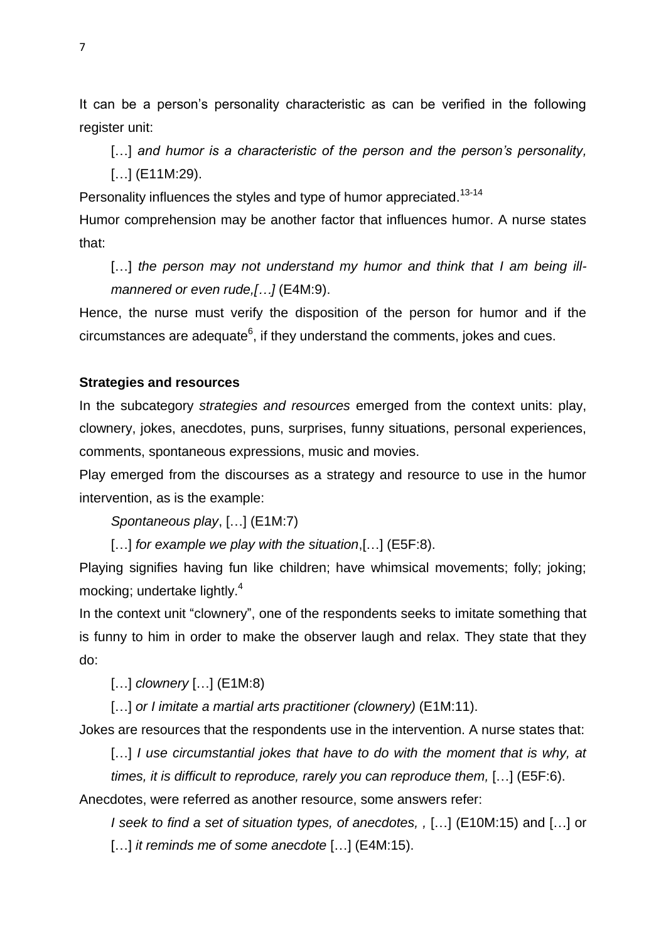It can be a person's personality characteristic as can be verified in the following register unit:

[...] and humor is a characteristic of the person and the person's personality,

[...] (E11M:29).

Personality influences the styles and type of humor appreciated.<sup>13-14</sup>

Humor comprehension may be another factor that influences humor. A nurse states that:

[...] the person may not understand my humor and think that I am being ill*mannered or even rude,[…]* (E4M:9).

Hence, the nurse must verify the disposition of the person for humor and if the circumstances are adequate $^6$ , if they understand the comments, jokes and cues.

#### **Strategies and resources**

In the subcategory *strategies and resources* emerged from the context units: play, clownery, jokes, anecdotes, puns, surprises, funny situations, personal experiences, comments, spontaneous expressions, music and movies.

Play emerged from the discourses as a strategy and resource to use in the humor intervention, as is the example:

*Spontaneous play*, […] (E1M:7)

[…] *for example we play with the situation*,[…] (E5F:8).

Playing signifies having fun like children; have whimsical movements; folly; joking; mocking; undertake lightly.<sup>4</sup>

In the context unit "clownery", one of the respondents seeks to imitate something that is funny to him in order to make the observer laugh and relax. They state that they do:

[…] *clownery* […] (E1M:8)

[…] *or I imitate a martial arts practitioner (clownery)* (E1M:11).

Jokes are resources that the respondents use in the intervention. A nurse states that:

[...] *I use circumstantial jokes that have to do with the moment that is why, at times, it is difficult to reproduce, rarely you can reproduce them,* […] (E5F:6).

Anecdotes, were referred as another resource, some answers refer:

*I seek to find a set of situation types, of anecdotes, ,* […] (E10M:15) and […] or […] *it reminds me of some anecdote* […] (E4M:15).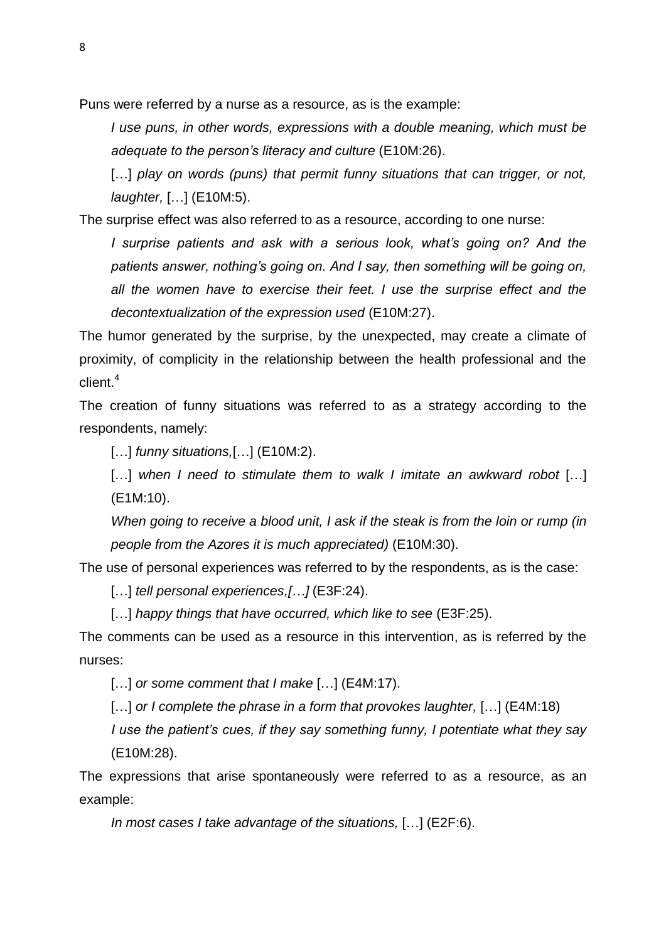Puns were referred by a nurse as a resource, as is the example:

*I use puns, in other words, expressions with a double meaning, which must be adequate to the person's literacy and culture* (E10M:26).

[...] *play on words (puns) that permit funny situations that can trigger, or not, laughter,* […] (E10M:5).

The surprise effect was also referred to as a resource, according to one nurse:

*I* surprise patients and ask with a serious look, what's going on? And the *patients answer, nothing's going on. And I say, then something will be going on, all the women have to exercise their feet. I use the surprise effect and the decontextualization of the expression used* (E10M:27).

The humor generated by the surprise, by the unexpected, may create a climate of proximity, of complicity in the relationship between the health professional and the client. 4

The creation of funny situations was referred to as a strategy according to the respondents, namely:

[…] *funny situations,*[…] (E10M:2).

[...] when I need to stimulate them to walk I imitate an awkward robot [...] (E1M:10).

*When going to receive a blood unit, I ask if the steak is from the loin or rump (in people from the Azores it is much appreciated)* (E10M:30).

The use of personal experiences was referred to by the respondents, as is the case:

[…] *tell personal experiences,[…]* (E3F:24).

[...] *happy things that have occurred, which like to see* (E3F:25).

The comments can be used as a resource in this intervention, as is referred by the nurses:

[…] *or some comment that I make* […] (E4M:17).

[…] *or I complete the phrase in a form that provokes laughter,* […] (E4M:18)

*I use the patient's cues, if they say something funny, I potentiate what they say* (E10M:28).

The expressions that arise spontaneously were referred to as a resource, as an example:

*In most cases I take advantage of the situations,* […] (E2F:6).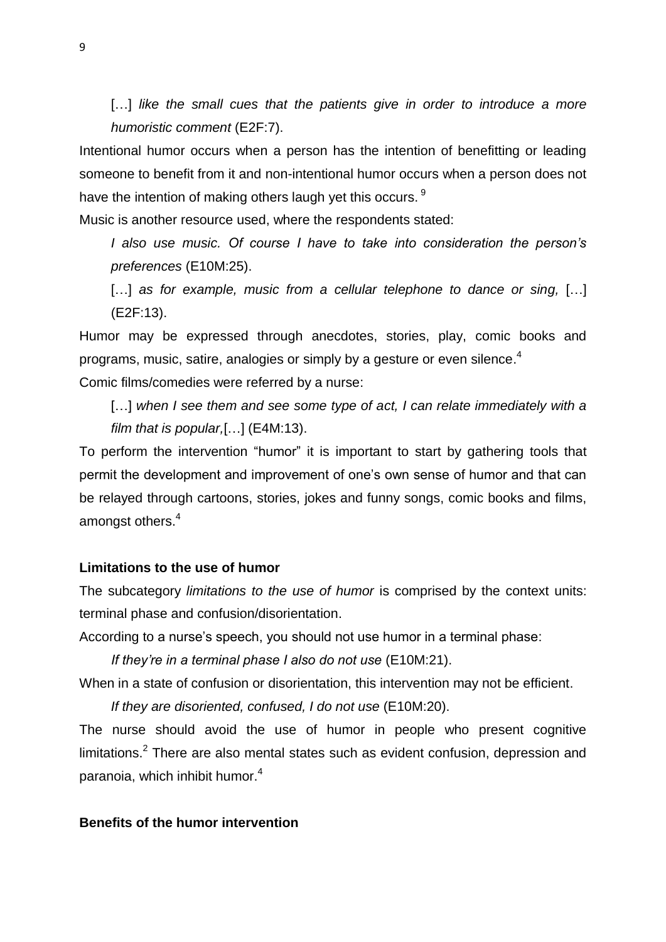[...] like the small cues that the patients give in order to introduce a more *humoristic comment* (E2F:7).

Intentional humor occurs when a person has the intention of benefitting or leading someone to benefit from it and non-intentional humor occurs when a person does not have the intention of making others laugh yet this occurs. <sup>9</sup>

Music is another resource used, where the respondents stated:

*I also use music. Of course I have to take into consideration the person's preferences* (E10M:25).

[...] *as for example, music from a cellular telephone to dance or sing,* [...] (E2F:13).

Humor may be expressed through anecdotes, stories, play, comic books and programs, music, satire, analogies or simply by a gesture or even silence. $^{\rm 4}$ 

Comic films/comedies were referred by a nurse:

[...] when I see them and see some type of act, I can relate immediately with a *film that is popular,*[…] (E4M:13).

To perform the intervention "humor" it is important to start by gathering tools that permit the development and improvement of one's own sense of humor and that can be relayed through cartoons, stories, jokes and funny songs, comic books and films, amongst others.<sup>4</sup>

#### **Limitations to the use of humor**

The subcategory *limitations to the use of humor* is comprised by the context units: terminal phase and confusion/disorientation.

According to a nurse's speech, you should not use humor in a terminal phase:

*If they're in a terminal phase I also do not use* (E10M:21).

When in a state of confusion or disorientation, this intervention may not be efficient.

*If they are disoriented, confused, I do not use* (E10M:20).

The nurse should avoid the use of humor in people who present cognitive limitations.<sup>2</sup> There are also mental states such as evident confusion, depression and paranoia, which inhibit humor. 4

### **Benefits of the humor intervention**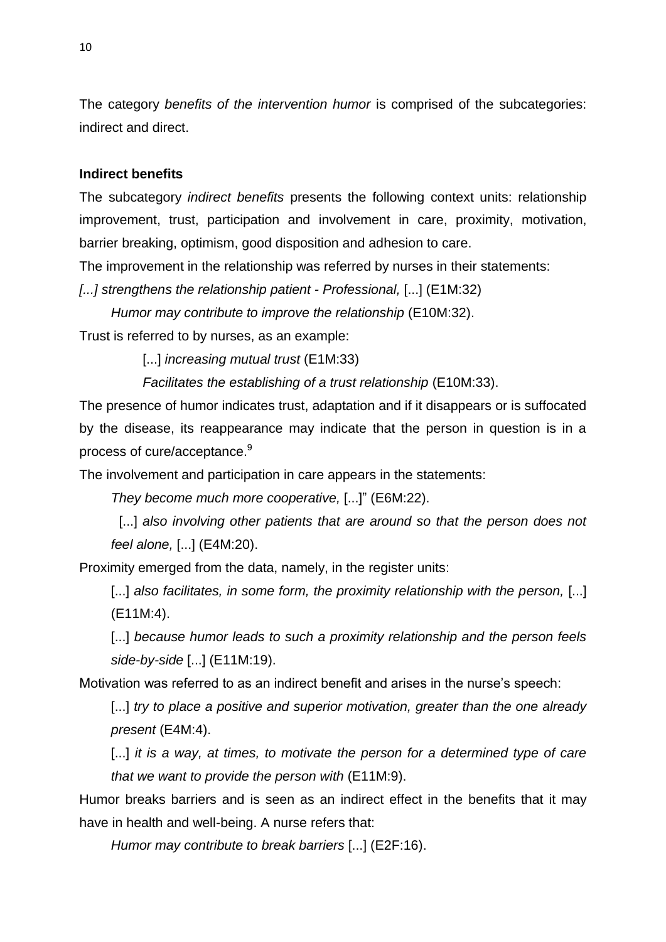The category *benefits of the intervention humor* is comprised of the subcategories: indirect and direct.

### **Indirect benefits**

The subcategory *indirect benefits* presents the following context units: relationship improvement, trust, participation and involvement in care, proximity, motivation, barrier breaking, optimism, good disposition and adhesion to care.

The improvement in the relationship was referred by nurses in their statements:

*[...] strengthens the relationship patient - Professional,* [...] (E1M:32)

*Humor may contribute to improve the relationship* (E10M:32).

Trust is referred to by nurses, as an example:

[...] *increasing mutual trust* (E1M:33)

*Facilitates the establishing of a trust relationship* (E10M:33).

The presence of humor indicates trust, adaptation and if it disappears or is suffocated by the disease, its reappearance may indicate that the person in question is in a process of cure/acceptance.<sup>9</sup>

The involvement and participation in care appears in the statements:

*They become much more cooperative,* [...]" (E6M:22).

[...] also involving other patients that are around so that the person does not *feel alone,* [...] (E4M:20).

Proximity emerged from the data, namely, in the register units:

[...] *also facilitates, in some form, the proximity relationship with the person,* [...] (E11M:4).

[...] *because humor leads to such a proximity relationship and the person feels side-by-side* [...] (E11M:19).

Motivation was referred to as an indirect benefit and arises in the nurse's speech:

[...] *try to place a positive and superior motivation, greater than the one already present* (E4M:4).

[...] *it is a way, at times, to motivate the person for a determined type of care that we want to provide the person with* (E11M:9).

Humor breaks barriers and is seen as an indirect effect in the benefits that it may have in health and well-being. A nurse refers that:

*Humor may contribute to break barriers* [...] (E2F:16).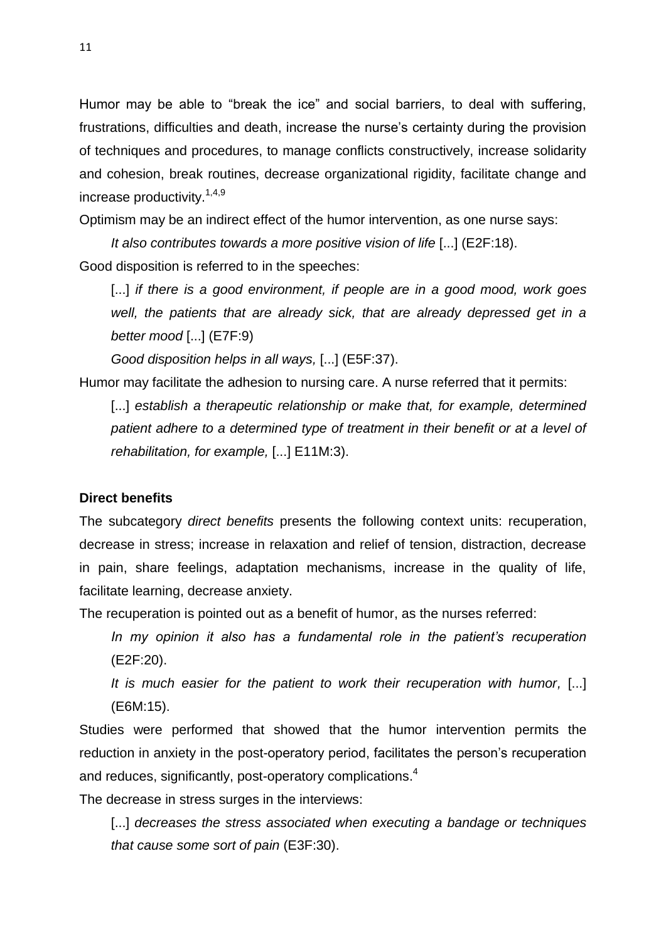Humor may be able to "break the ice" and social barriers, to deal with suffering, frustrations, difficulties and death, increase the nurse's certainty during the provision of techniques and procedures, to manage conflicts constructively, increase solidarity and cohesion, break routines, decrease organizational rigidity, facilitate change and increase productivity.<sup>1,4,9</sup>

Optimism may be an indirect effect of the humor intervention, as one nurse says:

*It also contributes towards a more positive vision of life* [...] (E2F:18). Good disposition is referred to in the speeches:

[...] *if there is a good environment, if people are in a good mood, work goes well, the patients that are already sick, that are already depressed get in a better mood* [...] (E7F:9)

*Good disposition helps in all ways,* [...] (E5F:37).

Humor may facilitate the adhesion to nursing care. A nurse referred that it permits:

[...] establish a therapeutic relationship or make that, for example, determined *patient adhere to a determined type of treatment in their benefit or at a level of rehabilitation, for example,* [...] E11M:3).

## **Direct benefits**

The subcategory *direct benefits* presents the following context units: recuperation, decrease in stress; increase in relaxation and relief of tension, distraction, decrease in pain, share feelings, adaptation mechanisms, increase in the quality of life, facilitate learning, decrease anxiety.

The recuperation is pointed out as a benefit of humor, as the nurses referred:

*In my opinion it also has a fundamental role in the patient's recuperation* (E2F:20).

*It is much easier for the patient to work their recuperation with humor,* [...] (E6M:15).

Studies were performed that showed that the humor intervention permits the reduction in anxiety in the post-operatory period, facilitates the person's recuperation and reduces, significantly, post-operatory complications. 4

The decrease in stress surges in the interviews:

[...] *decreases the stress associated when executing a bandage or techniques that cause some sort of pain* (E3F:30).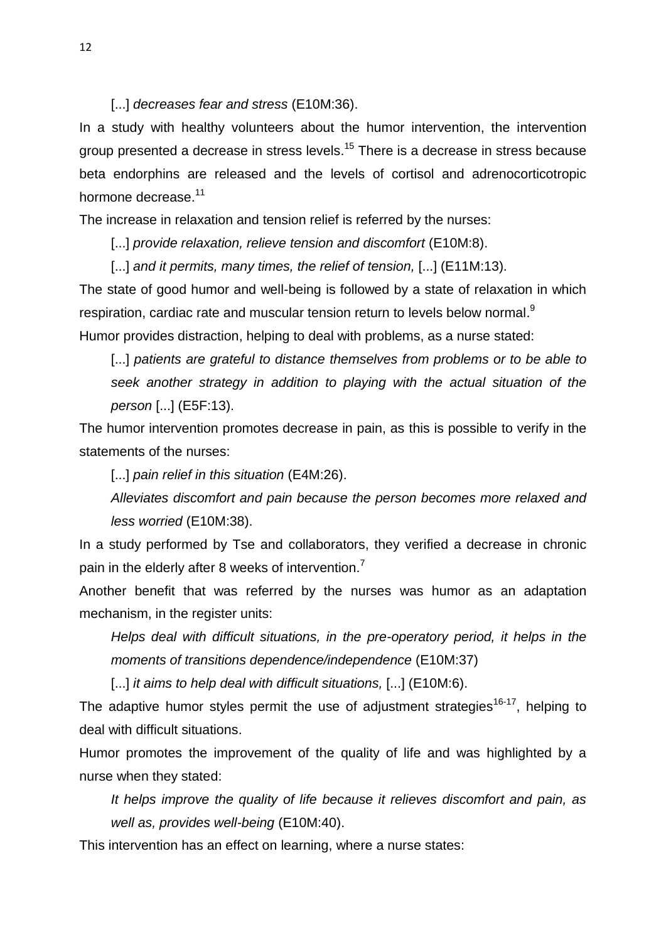[...] *decreases fear and stress* (E10M:36).

In a study with healthy volunteers about the humor intervention, the intervention group presented a decrease in stress levels.<sup>15</sup> There is a decrease in stress because beta endorphins are released and the levels of cortisol and adrenocorticotropic hormone decrease.<sup>11</sup>

The increase in relaxation and tension relief is referred by the nurses:

[...] *provide relaxation, relieve tension and discomfort* (E10M:8).

[...] *and it permits, many times, the relief of tension,* [...] (E11M:13).

The state of good humor and well-being is followed by a state of relaxation in which respiration, cardiac rate and muscular tension return to levels below normal. $^{\textrm{\textregistered}}$ Humor provides distraction, helping to deal with problems, as a nurse stated:

[...] *patients are grateful to distance themselves from problems or to be able to seek another strategy in addition to playing with the actual situation of the person* [...] (E5F:13).

The humor intervention promotes decrease in pain, as this is possible to verify in the statements of the nurses:

[...] *pain relief in this situation* (E4M:26).

*Alleviates discomfort and pain because the person becomes more relaxed and less worried* (E10M:38).

In a study performed by Tse and collaborators, they verified a decrease in chronic pain in the elderly after 8 weeks of intervention.<sup>7</sup>

Another benefit that was referred by the nurses was humor as an adaptation mechanism, in the register units:

*Helps deal with difficult situations, in the pre-operatory period, it helps in the moments of transitions dependence/independence* (E10M:37)

[...] *it aims to help deal with difficult situations,* [...] (E10M:6).

The adaptive humor styles permit the use of adjustment strategies<sup>16-17</sup>, helping to deal with difficult situations.

Humor promotes the improvement of the quality of life and was highlighted by a nurse when they stated:

*It helps improve the quality of life because it relieves discomfort and pain, as well as, provides well-being* (E10M:40).

This intervention has an effect on learning, where a nurse states: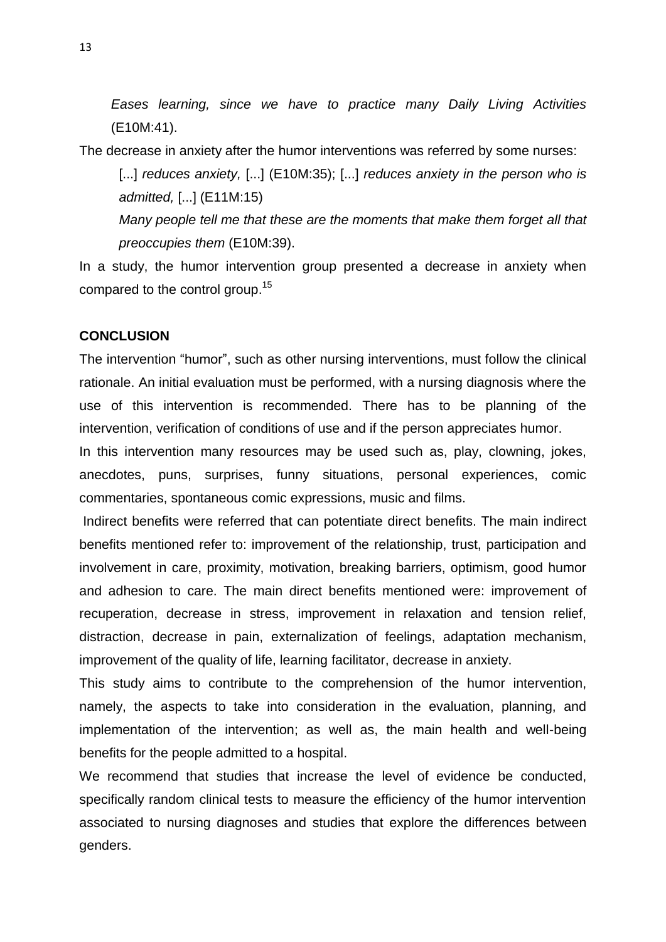*Eases learning, since we have to practice many Daily Living Activities* (E10M:41).

The decrease in anxiety after the humor interventions was referred by some nurses:

[...] *reduces anxiety*, [...] (E10M:35); [...] *reduces anxiety in the person who is admitted,* [...] (E11M:15)

*Many people tell me that these are the moments that make them forget all that preoccupies them* (E10M:39).

In a study, the humor intervention group presented a decrease in anxiety when compared to the control group.<sup>15</sup>

# **CONCLUSION**

The intervention "humor", such as other nursing interventions, must follow the clinical rationale. An initial evaluation must be performed, with a nursing diagnosis where the use of this intervention is recommended. There has to be planning of the intervention, verification of conditions of use and if the person appreciates humor.

In this intervention many resources may be used such as, play, clowning, jokes, anecdotes, puns, surprises, funny situations, personal experiences, comic commentaries, spontaneous comic expressions, music and films.

Indirect benefits were referred that can potentiate direct benefits. The main indirect benefits mentioned refer to: improvement of the relationship, trust, participation and involvement in care, proximity, motivation, breaking barriers, optimism, good humor and adhesion to care. The main direct benefits mentioned were: improvement of recuperation, decrease in stress, improvement in relaxation and tension relief, distraction, decrease in pain, externalization of feelings, adaptation mechanism, improvement of the quality of life, learning facilitator, decrease in anxiety.

This study aims to contribute to the comprehension of the humor intervention, namely, the aspects to take into consideration in the evaluation, planning, and implementation of the intervention; as well as, the main health and well-being benefits for the people admitted to a hospital.

We recommend that studies that increase the level of evidence be conducted, specifically random clinical tests to measure the efficiency of the humor intervention associated to nursing diagnoses and studies that explore the differences between genders.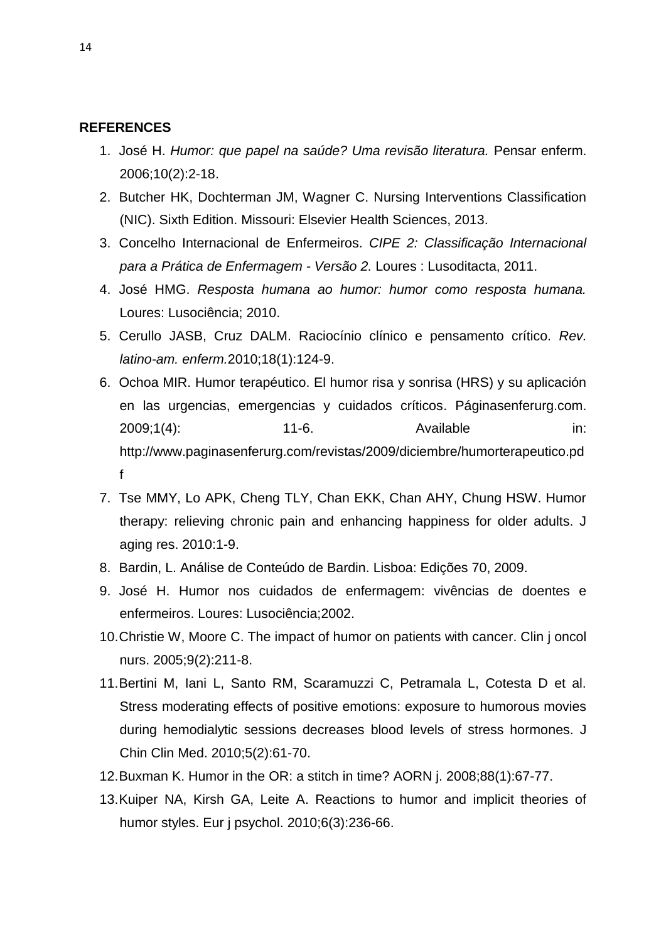#### **REFERENCES**

- 1. José H. *Humor: que papel na saúde? Uma revisão literatura.* Pensar enferm. 2006;10(2):2-18.
- 2. Butcher HK, Dochterman JM, Wagner C. Nursing Interventions Classification (NIC). Sixth Edition. Missouri: Elsevier Health Sciences, 2013.
- 3. Concelho Internacional de Enfermeiros. *CIPE 2: Classificação Internacional para a Prática de Enfermagem - Versão 2.* Loures : Lusoditacta, 2011.
- 4. José HMG. *Resposta humana ao humor: humor como resposta humana.*  Loures: Lusociência; 2010.
- 5. Cerullo JASB, Cruz DALM. Raciocínio clínico e pensamento crítico. *Rev. latino-am. enferm.*2010;18(1):124-9.
- 6. Ochoa MIR. Humor terapéutico. El humor risa y sonrisa (HRS) y su aplicación en las urgencias, emergencias y cuidados críticos. Páginasenferurg.com. 2009;1(4): 11-6. Available in: http://www.paginasenferurg.com/revistas/2009/diciembre/humorterapeutico.pd f
- 7. Tse MMY, Lo APK, Cheng TLY, Chan EKK, Chan AHY, Chung HSW. Humor therapy: relieving chronic pain and enhancing happiness for older adults. J aging res. 2010:1-9.
- 8. Bardin, L. Análise de Conteúdo de Bardin. Lisboa: Edições 70, 2009.
- 9. José H. Humor nos cuidados de enfermagem: vivências de doentes e enfermeiros. Loures: Lusociência;2002.
- 10.Christie W, Moore C. The impact of humor on patients with cancer. Clin j oncol nurs. 2005;9(2):211-8.
- 11.Bertini M, Iani L, Santo RM, Scaramuzzi C, Petramala L, Cotesta D et al. Stress moderating effects of positive emotions: exposure to humorous movies during hemodialytic sessions decreases blood levels of stress hormones. J Chin Clin Med. 2010;5(2):61-70.
- 12.Buxman K. Humor in the OR: a stitch in time? AORN j. 2008;88(1):67-77.
- 13.Kuiper NA, Kirsh GA, Leite A. Reactions to humor and implicit theories of humor styles. Eur j psychol. 2010;6(3):236-66.